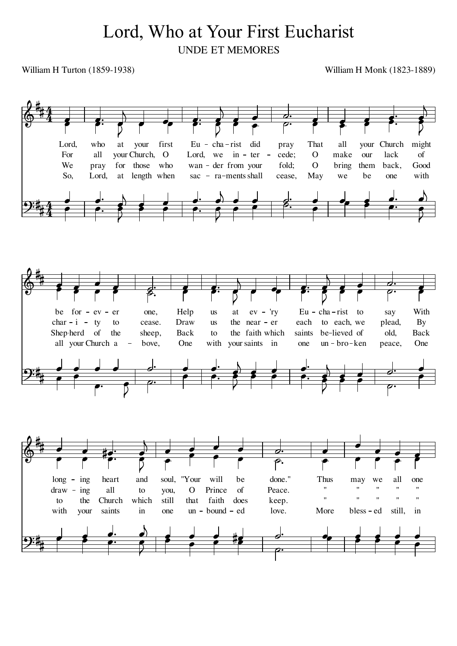## Lord, Who at Your First Eucharist UNDE ET MEMORES

William H Turton (1859-1938)

William H Monk (1823-1889)